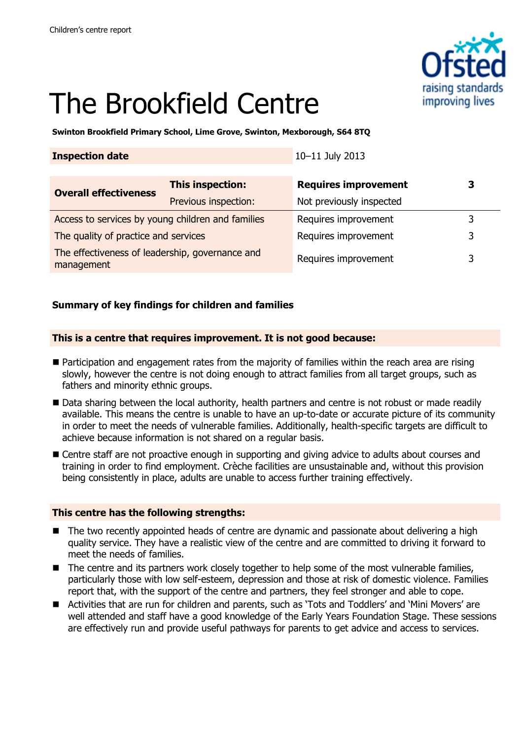

# The Brookfield Centre

**Swinton Brookfield Primary School, Lime Grove, Swinton, Mexborough, S64 8TQ**

| <b>Inspection date</b>                                        |                         | 10-11 July 2013             |   |
|---------------------------------------------------------------|-------------------------|-----------------------------|---|
| <b>Overall effectiveness</b>                                  | <b>This inspection:</b> | <b>Requires improvement</b> | 3 |
|                                                               | Previous inspection:    | Not previously inspected    |   |
| Access to services by young children and families             |                         | Requires improvement        | 3 |
| The quality of practice and services                          |                         | Requires improvement        | 3 |
| The effectiveness of leadership, governance and<br>management |                         | Requires improvement        | 3 |

## **Summary of key findings for children and families**

#### **This is a centre that requires improvement. It is not good because:**

- Participation and engagement rates from the majority of families within the reach area are rising slowly, however the centre is not doing enough to attract families from all target groups, such as fathers and minority ethnic groups.
- Data sharing between the local authority, health partners and centre is not robust or made readily available. This means the centre is unable to have an up-to-date or accurate picture of its community in order to meet the needs of vulnerable families. Additionally, health-specific targets are difficult to achieve because information is not shared on a regular basis.
- Centre staff are not proactive enough in supporting and giving advice to adults about courses and training in order to find employment. Crèche facilities are unsustainable and, without this provision being consistently in place, adults are unable to access further training effectively.

### **This centre has the following strengths:**

- The two recently appointed heads of centre are dynamic and passionate about delivering a high quality service. They have a realistic view of the centre and are committed to driving it forward to meet the needs of families.
- The centre and its partners work closely together to help some of the most vulnerable families, particularly those with low self-esteem, depression and those at risk of domestic violence. Families report that, with the support of the centre and partners, they feel stronger and able to cope.
- Activities that are run for children and parents, such as 'Tots and Toddlers' and 'Mini Movers' are well attended and staff have a good knowledge of the Early Years Foundation Stage. These sessions are effectively run and provide useful pathways for parents to get advice and access to services.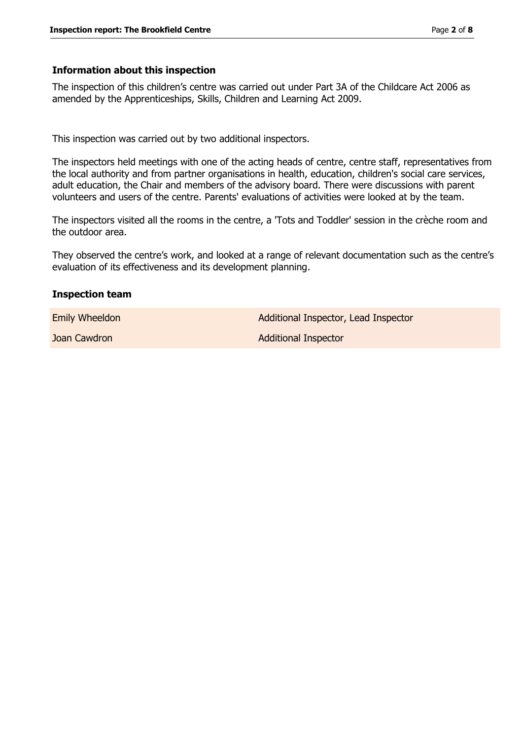#### **Information about this inspection**

The inspection of this children's centre was carried out under Part 3A of the Childcare Act 2006 as amended by the Apprenticeships, Skills, Children and Learning Act 2009.

This inspection was carried out by two additional inspectors.

The inspectors held meetings with one of the acting heads of centre, centre staff, representatives from the local authority and from partner organisations in health, education, children's social care services, adult education, the Chair and members of the advisory board. There were discussions with parent volunteers and users of the centre. Parents' evaluations of activities were looked at by the team.

The inspectors visited all the rooms in the centre, a 'Tots and Toddler' session in the crèche room and the outdoor area.

They observed the centre's work, and looked at a range of relevant documentation such as the centre's evaluation of its effectiveness and its development planning.

#### **Inspection team**

Emily Wheeldon **Additional Inspector**, Lead Inspector **Joan Cawdron Additional Inspector** Additional Inspector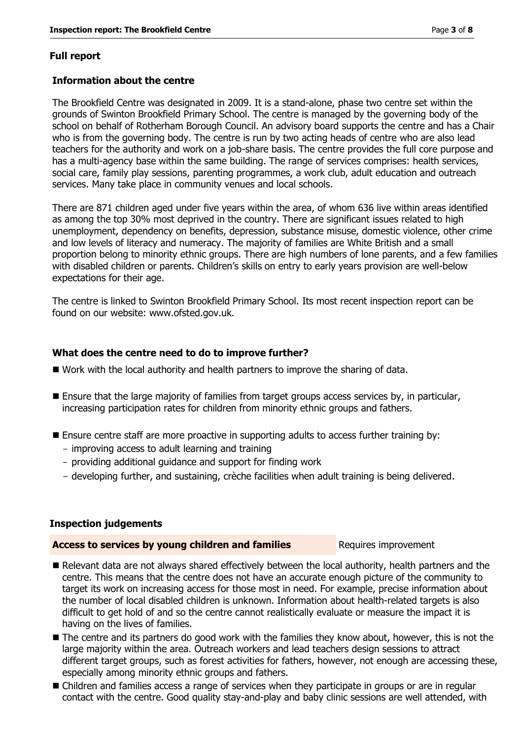#### **Full report**

#### **Information about the centre**

The Brookfield Centre was designated in 2009. It is a stand-alone, phase two centre set within the grounds of Swinton Brookfield Primary School. The centre is managed by the governing body of the school on behalf of Rotherham Borough Council. An advisory board supports the centre and has a Chair who is from the governing body. The centre is run by two acting heads of centre who are also lead teachers for the authority and work on a job-share basis. The centre provides the full core purpose and has a multi-agency base within the same building. The range of services comprises: health services, social care, family play sessions, parenting programmes, a work club, adult education and outreach services. Many take place in community venues and local schools.

There are 871 children aged under five years within the area, of whom 636 live within areas identified as among the top 30% most deprived in the country. There are significant issues related to high unemployment, dependency on benefits, depression, substance misuse, domestic violence, other crime and low levels of literacy and numeracy. The majority of families are White British and a small proportion belong to minority ethnic groups. There are high numbers of lone parents, and a few families with disabled children or parents. Children's skills on entry to early years provision are well-below expectations for their age.

The centre is linked to Swinton Brookfield Primary School. Its most recent inspection report can be found on our website: www.ofsted.gov.uk.

#### **What does the centre need to do to improve further?**

- Work with the local authority and health partners to improve the sharing of data.
- Ensure that the large majority of families from target groups access services by, in particular, increasing participation rates for children from minority ethnic groups and fathers.
- Ensure centre staff are more proactive in supporting adults to access further training by:
	- improving access to adult learning and training
	- providing additional guidance and support for finding work
	- developing further, and sustaining, crèche facilities when adult training is being delivered.

#### **Inspection judgements**

#### **Access to services by young children and families** Requires improvement

- Relevant data are not always shared effectively between the local authority, health partners and the centre. This means that the centre does not have an accurate enough picture of the community to target its work on increasing access for those most in need. For example, precise information about the number of local disabled children is unknown. Information about health-related targets is also difficult to get hold of and so the centre cannot realistically evaluate or measure the impact it is having on the lives of families.
- The centre and its partners do good work with the families they know about, however, this is not the large majority within the area. Outreach workers and lead teachers design sessions to attract different target groups, such as forest activities for fathers, however, not enough are accessing these, especially among minority ethnic groups and fathers.
- Children and families access a range of services when they participate in groups or are in regular contact with the centre. Good quality stay-and-play and baby clinic sessions are well attended, with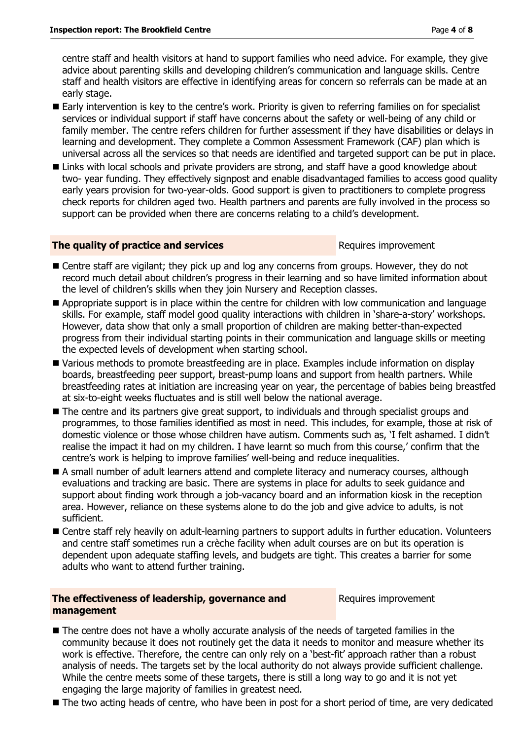centre staff and health visitors at hand to support families who need advice. For example, they give advice about parenting skills and developing children's communication and language skills. Centre staff and health visitors are effective in identifying areas for concern so referrals can be made at an early stage.

- Early intervention is key to the centre's work. Priority is given to referring families on for specialist services or individual support if staff have concerns about the safety or well-being of any child or family member. The centre refers children for further assessment if they have disabilities or delays in learning and development. They complete a Common Assessment Framework (CAF) plan which is universal across all the services so that needs are identified and targeted support can be put in place.
- Links with local schools and private providers are strong, and staff have a good knowledge about two- year funding. They effectively signpost and enable disadvantaged families to access good quality early years provision for two-year-olds. Good support is given to practitioners to complete progress check reports for children aged two. Health partners and parents are fully involved in the process so support can be provided when there are concerns relating to a child's development.

#### **The quality of practice and services Requires** improvement

- **E** Centre staff are vigilant; they pick up and log any concerns from groups. However, they do not record much detail about children's progress in their learning and so have limited information about the level of children's skills when they join Nursery and Reception classes.
- Appropriate support is in place within the centre for children with low communication and language skills. For example, staff model good quality interactions with children in 'share-a-story' workshops. However, data show that only a small proportion of children are making better-than-expected progress from their individual starting points in their communication and language skills or meeting the expected levels of development when starting school.
- Various methods to promote breastfeeding are in place. Examples include information on display boards, breastfeeding peer support, breast-pump loans and support from health partners. While breastfeeding rates at initiation are increasing year on year, the percentage of babies being breastfed at six-to-eight weeks fluctuates and is still well below the national average.
- The centre and its partners give great support, to individuals and through specialist groups and programmes, to those families identified as most in need. This includes, for example, those at risk of domestic violence or those whose children have autism. Comments such as, 'I felt ashamed. I didn't realise the impact it had on my children. I have learnt so much from this course,' confirm that the centre's work is helping to improve families' well-being and reduce inequalities.
- A small number of adult learners attend and complete literacy and numeracy courses, although evaluations and tracking are basic. There are systems in place for adults to seek guidance and support about finding work through a job-vacancy board and an information kiosk in the reception area. However, reliance on these systems alone to do the job and give advice to adults, is not sufficient.
- Centre staff rely heavily on adult-learning partners to support adults in further education. Volunteers and centre staff sometimes run a crèche facility when adult courses are on but its operation is dependent upon adequate staffing levels, and budgets are tight. This creates a barrier for some adults who want to attend further training.

#### **The effectiveness of leadership, governance and management**

Requires improvement

- $\blacksquare$  The centre does not have a wholly accurate analysis of the needs of targeted families in the community because it does not routinely get the data it needs to monitor and measure whether its work is effective. Therefore, the centre can only rely on a 'best-fit' approach rather than a robust analysis of needs. The targets set by the local authority do not always provide sufficient challenge. While the centre meets some of these targets, there is still a long way to go and it is not yet engaging the large majority of families in greatest need.
- The two acting heads of centre, who have been in post for a short period of time, are very dedicated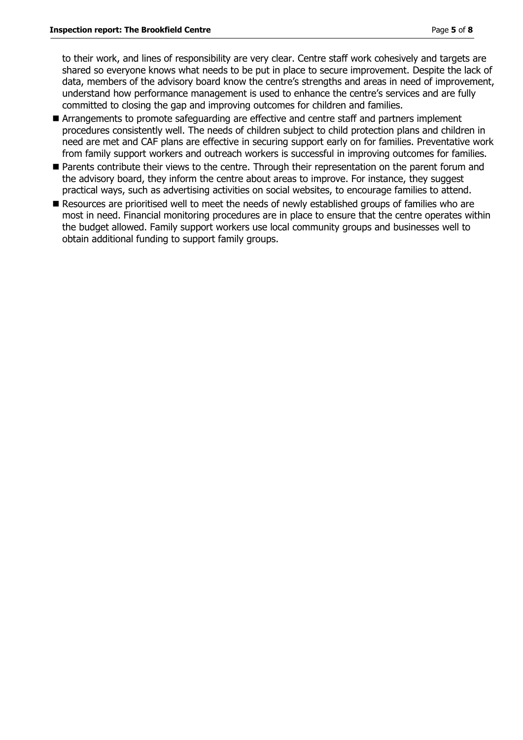to their work, and lines of responsibility are very clear. Centre staff work cohesively and targets are shared so everyone knows what needs to be put in place to secure improvement. Despite the lack of data, members of the advisory board know the centre's strengths and areas in need of improvement, understand how performance management is used to enhance the centre's services and are fully committed to closing the gap and improving outcomes for children and families.

- Arrangements to promote safeguarding are effective and centre staff and partners implement procedures consistently well. The needs of children subject to child protection plans and children in need are met and CAF plans are effective in securing support early on for families. Preventative work from family support workers and outreach workers is successful in improving outcomes for families.
- **Parents contribute their views to the centre. Through their representation on the parent forum and** the advisory board, they inform the centre about areas to improve. For instance, they suggest practical ways, such as advertising activities on social websites, to encourage families to attend.
- Resources are prioritised well to meet the needs of newly established groups of families who are most in need. Financial monitoring procedures are in place to ensure that the centre operates within the budget allowed. Family support workers use local community groups and businesses well to obtain additional funding to support family groups.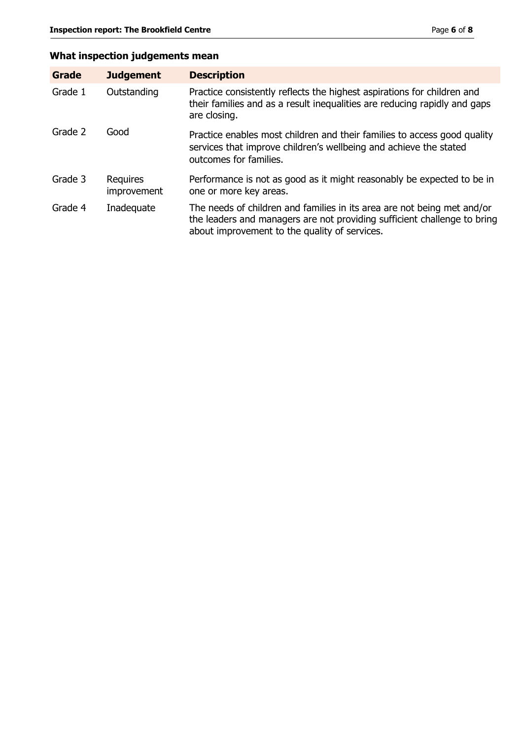# **What inspection judgements mean**

| Grade   | <b>Judgement</b>        | <b>Description</b>                                                                                                                                                                                   |
|---------|-------------------------|------------------------------------------------------------------------------------------------------------------------------------------------------------------------------------------------------|
| Grade 1 | Outstanding             | Practice consistently reflects the highest aspirations for children and<br>their families and as a result inequalities are reducing rapidly and gaps<br>are closing.                                 |
| Grade 2 | Good                    | Practice enables most children and their families to access good quality<br>services that improve children's wellbeing and achieve the stated<br>outcomes for families.                              |
| Grade 3 | Requires<br>improvement | Performance is not as good as it might reasonably be expected to be in<br>one or more key areas.                                                                                                     |
| Grade 4 | Inadequate              | The needs of children and families in its area are not being met and/or<br>the leaders and managers are not providing sufficient challenge to bring<br>about improvement to the quality of services. |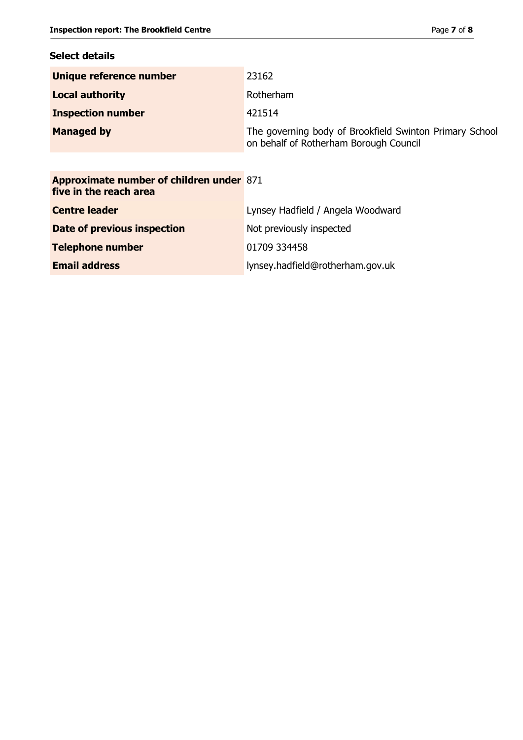# **Select details**

| Unique reference number                                                   | 23162                                                                                             |
|---------------------------------------------------------------------------|---------------------------------------------------------------------------------------------------|
| <b>Local authority</b>                                                    | Rotherham                                                                                         |
| <b>Inspection number</b>                                                  | 421514                                                                                            |
| <b>Managed by</b>                                                         | The governing body of Brookfield Swinton Primary School<br>on behalf of Rotherham Borough Council |
|                                                                           |                                                                                                   |
| <b>Approximate number of children under 871</b><br>five in the reach area |                                                                                                   |
| <b>Centre leader</b>                                                      | Lynsey Hadfield / Angela Woodward                                                                 |
| Date of previous inspection                                               | Not previously inspected                                                                          |
| <b>Telephone number</b>                                                   | 01709 334458                                                                                      |
| <b>Email address</b>                                                      | lynsey.hadfield@rotherham.gov.uk                                                                  |